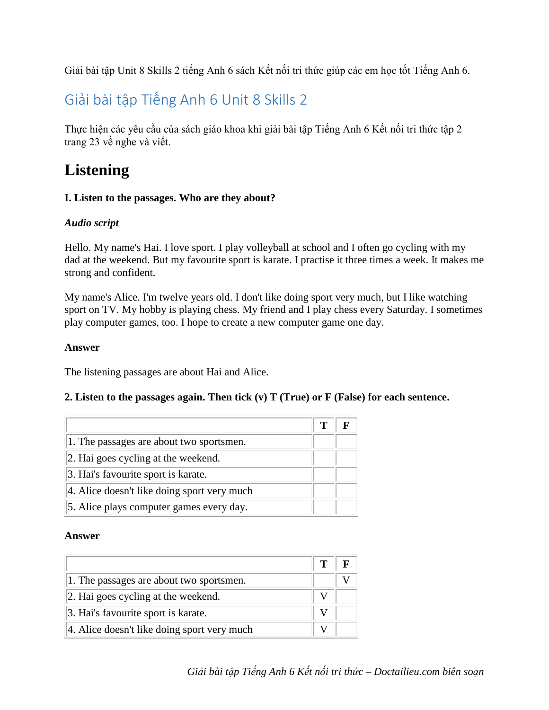Giải bài tập Unit 8 Skills 2 tiếng Anh 6 sách Kết nối tri thức giúp các em học tốt Tiếng Anh 6.

# Giải bài tập Tiếng Anh 6 Unit 8 Skills 2

Thực hiện các yêu cầu của sách giáo khoa khi [giải bài tập Tiếng Anh 6 Kết nối tri thức](https://doctailieu.com/giai-bai-tap-tieng-anh-6-ket-noi-tri-thuc-global-success) tập 2 trang 23 về nghe và viết.

# **Listening**

# **I. Listen to the passages. Who are they about?**

# *Audio script*

Hello. My name's Hai. I love sport. I play volleyball at school and I often go cycling with my dad at the weekend. But my favourite sport is karate. I practise it three times a week. It makes me strong and confident.

My name's Alice. I'm twelve years old. I don't like doing sport very much, but I like watching sport on TV. My hobby is playing chess. My friend and I play chess every Saturday. I sometimes play computer games, too. I hope to create a new computer game one day.

# **Answer**

The listening passages are about Hai and Alice.

# **2. Listen to the passages again. Then tick (v) T (True) or F (False) for each sentence.**

|                                             | т |  |
|---------------------------------------------|---|--|
| 1. The passages are about two sportsmen.    |   |  |
| 2. Hai goes cycling at the weekend.         |   |  |
| 3. Hai's favourite sport is karate.         |   |  |
| 4. Alice doesn't like doing sport very much |   |  |
| 5. Alice plays computer games every day.    |   |  |

#### **Answer**

|                                             | Т |  |
|---------------------------------------------|---|--|
| 1. The passages are about two sportsmen.    |   |  |
| 2. Hai goes cycling at the weekend.         |   |  |
| 3. Hai's favourite sport is karate.         |   |  |
| 4. Alice doesn't like doing sport very much |   |  |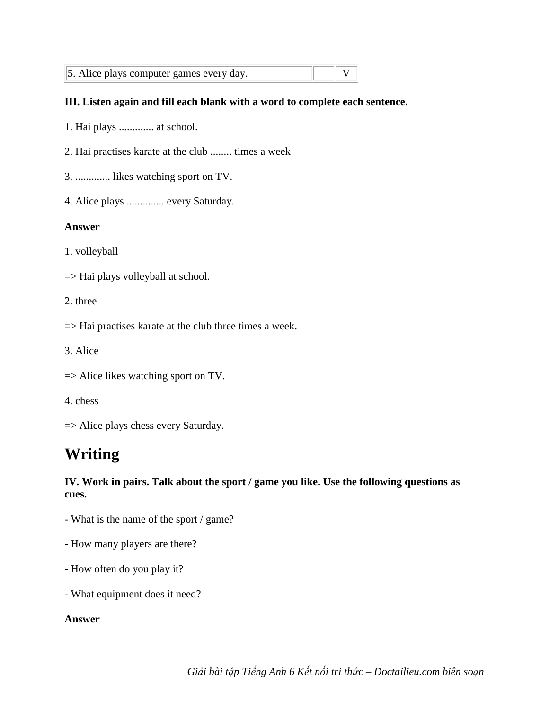| 5. Alice plays computer games every day. |  |  |  |
|------------------------------------------|--|--|--|
|------------------------------------------|--|--|--|

#### **III. Listen again and fill each blank with a word to complete each sentence.**

- 1. Hai plays ............. at school.
- 2. Hai practises karate at the club ........ times a week
- 3. ............. likes watching sport on TV.
- 4. Alice plays .............. every Saturday.

#### **Answer**

- 1. volleyball
- $\Rightarrow$  Hai plays volleyball at school.
- 2. three
- => Hai practises karate at the club three times a week.
- 3. Alice
- => Alice likes watching sport on TV.
- 4. chess
- => Alice plays chess every Saturday.

# **Writing**

## **IV. Work in pairs. Talk about the sport / game you like. Use the following questions as cues.**

- What is the name of the sport / game?
- How many players are there?
- How often do you play it?
- What equipment does it need?

# **Answer**